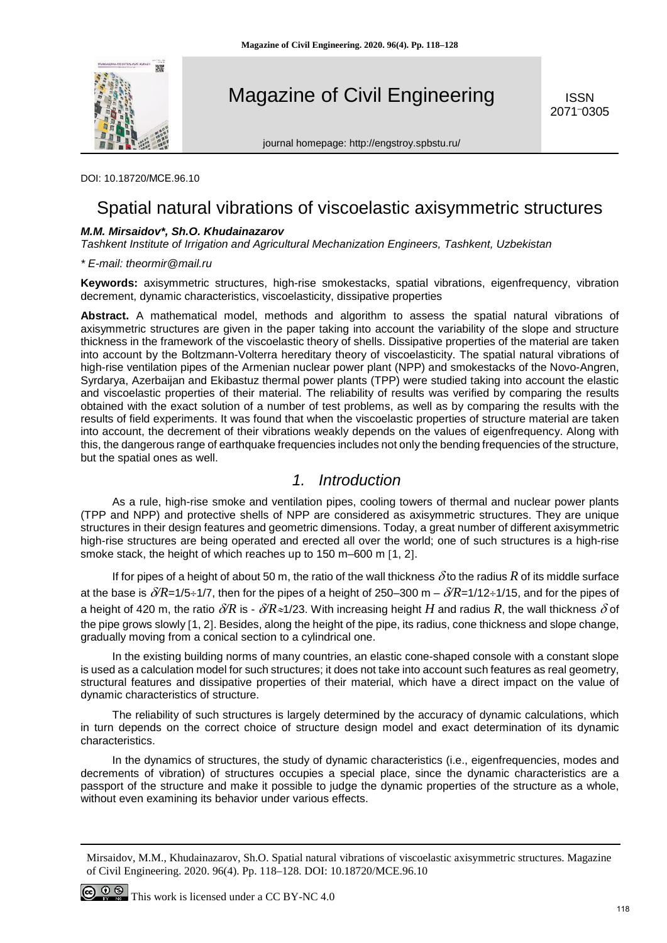

Magazine of Civil Engineering

ISSN 2071– 0305

journal homepage: http://engstroy.spbstu.ru/

DOI: 10.18720/МСЕ.96.10

# Spatial natural vibrations of viscoelastic axisymmetric structures

### *M.M. Mirsaidov\*, Sh.O. Khudainazarov*

*Tashkent Institute of Irrigation and Agricultural Mechanization Engineers, Tashkent, Uzbekistan*

*\* E-mail: theormir@mail.ru*

**Keywords:** axisymmetric structures, high-rise smokestacks, spatial vibrations, eigenfrequency, vibration decrement, dynamic characteristics, viscoelasticity, dissipative properties

**Abstract.** A mathematical model, methods and algorithm to assess the spatial natural vibrations of axisymmetric structures are given in the paper taking into account the variability of the slope and structure thickness in the framework of the viscoelastic theory of shells. Dissipative properties of the material are taken into account by the Boltzmann-Volterra hereditary theory of viscoelasticity. The spatial natural vibrations of high-rise ventilation pipes of the Armenian nuclear power plant (NPP) and smokestacks of the Novo-Angren, Syrdarya, Azerbaijan and Ekibastuz thermal power plants (TPP) were studied taking into account the elastic and viscoelastic properties of their material. The reliability of results was verified by comparing the results obtained with the exact solution of a number of test problems, as well as by comparing the results with the results of field experiments. It was found that when the viscoelastic properties of structure material are taken into account, the decrement of their vibrations weakly depends on the values of eigenfrequency. Along with this, the dangerous range of earthquake frequencies includes not only the bending frequencies of the structure, but the spatial ones as well.

# *1. Introduction*

As a rule, high-rise smoke and ventilation pipes, cooling towers of thermal and nuclear power plants (TPP and NPP) and protective shells of NPP are considered as axisymmetric structures. They are unique structures in their design features and geometric dimensions. Today, a great number of different axisymmetric high-rise structures are being operated and erected all over the world; one of such structures is a high-rise smoke stack, the height of which reaches up to 150 m–600 m [1, 2].

If for pipes of a height of about 50 m, the ratio of the wall thickness  $\delta$  to the radius R of its middle surface at the base is  $\delta/R$ =1/5÷1/7, then for the pipes of a height of 250–300 m –  $\delta/R$ =1/12÷1/15, and for the pipes of a height of 420 m, the ratio  $\delta R$  is -  $\delta R \approx 1/23$ . With increasing height *H* and radius *R*, the wall thickness  $\delta$  of the pipe grows slowly [1, 2]. Besides, along the height of the pipe, its radius, cone thickness and slope change, gradually moving from a conical section to a cylindrical one.

In the existing building norms of many countries, an elastic cone-shaped console with a constant slope is used as a calculation model for such structures; it does not take into account such features as real geometry, structural features and dissipative properties of their material, which have a direct impact on the value of dynamic characteristics of structure.

The reliability of such structures is largely determined by the accuracy of dynamic calculations, which in turn depends on the correct choice of structure design model and exact determination of its dynamic characteristics.

In the dynamics of structures, the study of dynamic characteristics (i.e., eigenfrequencies, modes and decrements of vibration) of structures occupies a special place, since the dynamic characteristics are a passport of the structure and make it possible to judge the dynamic properties of the structure as a whole, without even examining its behavior under various effects.

Mirsaidov, M.M., Khudainazarov, Sh.O. Spatial natural vibrations of viscoelastic axisymmetric structures. Magazine of Civil Engineering. 2020. 96(4). Pp. 118–128. DOI: 10.18720/MCE.96.10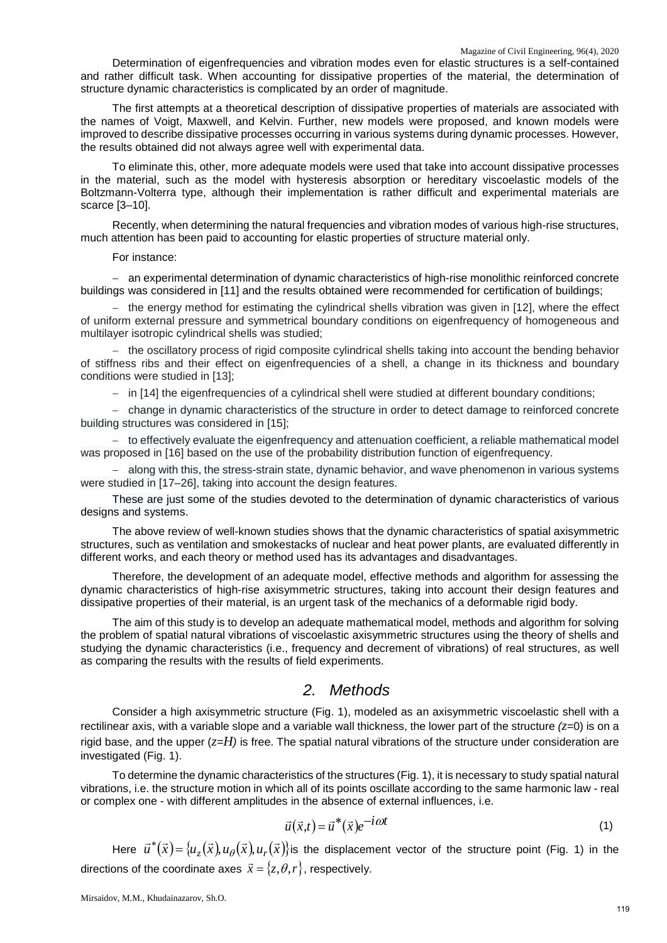Determination of eigenfrequencies and vibration modes even for elastic structures is a self-contained and rather difficult task. When accounting for dissipative properties of the material, the determination of structure dynamic characteristics is complicated by an order of magnitude.

The first attempts at a theoretical description of dissipative properties of materials are associated with the names of Voigt, Maxwell, and Kelvin. Further, new models were proposed, and known models were improved to describe dissipative processes occurring in various systems during dynamic processes. However, the results obtained did not always agree well with experimental data.

To eliminate this, other, more adequate models were used that take into account dissipative processes in the material, such as the model with hysteresis absorption or hereditary viscoelastic models of the Boltzmann-Volterra type, although their implementation is rather difficult and experimental materials are scarce [3–10].

Recently, when determining the natural frequencies and vibration modes of various high-rise structures, much attention has been paid to accounting for elastic properties of structure material only.

#### For instance:

− an experimental determination of dynamic characteristics of high-rise monolithic reinforced concrete buildings was considered in [11] and the results obtained were recommended for certification of buildings;

− the energy method for estimating the cylindrical shells vibration was given in [12], where the effect of uniform external pressure and symmetrical boundary conditions on eigenfrequency of homogeneous and multilayer isotropic cylindrical shells was studied;

− the oscillatory process of rigid composite cylindrical shells taking into account the bending behavior of stiffness ribs and their effect on eigenfrequencies of a shell, a change in its thickness and boundary conditions were studied in [13];

− in [14] the eigenfrequencies of a cylindrical shell were studied at different boundary conditions;

− change in dynamic characteristics of the structure in order to detect damage to reinforced concrete building structures was considered in [15];

− to effectively evaluate the eigenfrequency and attenuation coefficient, a reliable mathematical model was proposed in [16] based on the use of the probability distribution function of eigenfrequency.

− along with this, the stress-strain state, dynamic behavior, and wave phenomenon in various systems were studied in [17–26], taking into account the design features.

These are just some of the studies devoted to the determination of dynamic characteristics of various designs and systems.

The above review of well-known studies shows that the dynamic characteristics of spatial axisymmetric structures, such as ventilation and smokestacks of nuclear and heat power plants, are evaluated differently in different works, and each theory or method used has its advantages and disadvantages.

Therefore, the development of an adequate model, effective methods and algorithm for assessing the dynamic characteristics of high-rise axisymmetric structures, taking into account their design features and dissipative properties of their material, is an urgent task of the mechanics of a deformable rigid body.

The aim of this study is to develop an adequate mathematical model, methods and algorithm for solving the problem of spatial natural vibrations of viscoelastic axisymmetric structures using the theory of shells and studying the dynamic characteristics (i.e., frequency and decrement of vibrations) of real structures, as well as comparing the results with the results of field experiments.

# *2. Methods*

Consider a high axisymmetric structure (Fig. 1), modeled as an axisymmetric viscoelastic shell with a rectilinear axis, with a variable slope and a variable wall thickness, the lower part of the structure  $(z=0)$  is on a rigid base, and the upper (*z=H)* is free. The spatial natural vibrations of the structure under consideration are investigated (Fig. 1).

To determine the dynamic characteristics of the structures (Fig. 1), it is necessary to study spatial natural vibrations, i.e. the structure motion in which all of its points oscillate according to the same harmonic law - real or complex one - with different amplitudes in the absence of external influences, i.e.

$$
\vec{u}(\vec{x},t) = \vec{u}^*(\vec{x})e^{-i\omega t}
$$
 (1)

Here  $\vec{u}^*(\vec{x}) = \{u_\tau(\vec{x}), u_\theta(\vec{x}), u_r(\vec{x})\}$  is the displacement vector of the structure point (Fig. 1) in the directions of the coordinate axes  $\vec{x} = \{z, \theta, r\}$ , respectively.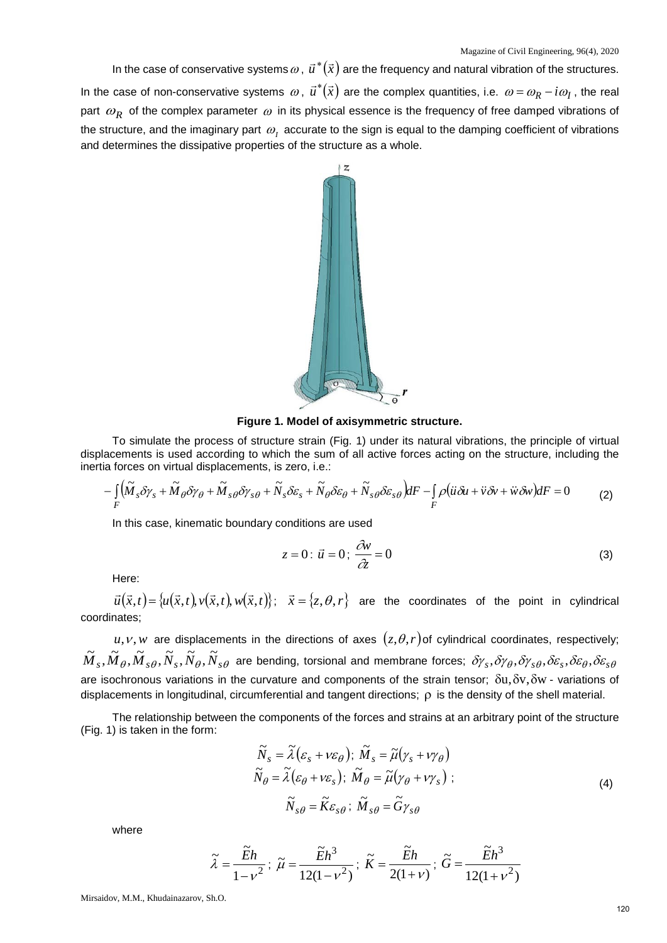In the case of conservative systems  $\omega$ ,  $\vec{u}^*(\vec{x})$  are the frequency and natural vibration of the structures. In the case of non-conservative systems  $\omega$ ,  $\vec{u}^*(\vec{x})$  are the complex quantities, i.e.  $\omega = \omega_p - i\omega_l$ , the real part  $\omega_R$  of the complex parameter  $\omega$  in its physical essence is the frequency of free damped vibrations of the structure, and the imaginary part  $\omega$ , accurate to the sign is equal to the damping coefficient of vibrations and determines the dissipative properties of the structure as a whole.



**Figure 1. Model of axisymmetric structure.** 

To simulate the process of structure strain (Fig. 1) under its natural vibrations, the principle of virtual displacements is used according to which the sum of all active forces acting on the structure, including the inertia forces on virtual displacements, is zero, i.e.:

$$
-\int_{F} \left(\tilde{M}_{s}\delta\gamma_{s} + \tilde{M}_{\theta}\delta\gamma_{\theta} + \tilde{M}_{s\theta}\delta\gamma_{s\theta} + \tilde{N}_{s}\delta\varepsilon_{s} + \tilde{N}_{\theta}\delta\varepsilon_{\theta} + \tilde{N}_{s\theta}\delta\varepsilon_{\theta}\right)dF - \int_{F} \rho(\ddot{u}\delta u + \ddot{v}\delta v + \ddot{w}\delta w)dF = 0
$$
\n(2)

In this case, kinematic boundary conditions are used

$$
z = 0: \vec{u} = 0; \frac{\partial v}{\partial z} = 0 \tag{3}
$$

Here:

 $\vec{u}(\vec{x},t) = \{\mu(\vec{x},t),\nu(\vec{x},t),\nu(\vec{x},t)\};\;\;\;\vec{x} = \{z,\theta,r\}\;\;\;$  are the coordinates of the point in cylindrical coordinates;

 $u, v, w$  are displacements in the directions of axes  $(z, \theta, r)$  of cylindrical coordinates, respectively;  ${\tilde M}_s$ , ${\tilde M}_\theta$ , ${\tilde M}_s$  $\theta$ , ${\tilde N}_s$ ,, ${\tilde N}_\theta$ ,, ${\tilde N}_s$  $\theta$  are bending, torsional and membrane forces;  $\delta\gamma_s$ , $\delta\gamma_\theta$ , $\delta\gamma_s$  $\theta$ , $\delta\epsilon_s$ , $\delta\epsilon_\theta$ , $\delta\epsilon_s$ , $\theta$ are isochronous variations in the curvature and components of the strain tensor;  $\delta u, \delta v, \delta w$  - variations of displacements in longitudinal, circumferential and tangent directions; ρ is the density of the shell material.

The relationship between the components of the forces and strains at an arbitrary point of the structure (Fig. 1) is taken in the form:

$$
\widetilde{N}_s = \widetilde{\lambda} \left( \varepsilon_s + v \varepsilon_\theta \right); \ \widetilde{M}_s = \widetilde{\mu} \left( \gamma_s + v \gamma_\theta \right)
$$
\n
$$
\widetilde{N}_\theta = \widetilde{\lambda} \left( \varepsilon_\theta + v \varepsilon_s \right); \ \widetilde{M}_\theta = \widetilde{\mu} \left( \gamma_\theta + v \gamma_s \right);
$$
\n
$$
\widetilde{N}_{s\theta} = \widetilde{K} \varepsilon_{s\theta}; \ \widetilde{M}_{s\theta} = \widetilde{G} \gamma_{s\theta}
$$
\n(4)

where

$$
\widetilde{\lambda} = \frac{\widetilde{E}h}{1 - \nu^2}; \ \widetilde{\mu} = \frac{\widetilde{E}h^3}{12(1 - \nu^2)}; \ \widetilde{K} = \frac{\widetilde{E}h}{2(1 + \nu)}; \ \widetilde{G} = \frac{\widetilde{E}h^3}{12(1 + \nu^2)}
$$

Mirsaidov, M.M., Khudainazarov, Sh.O.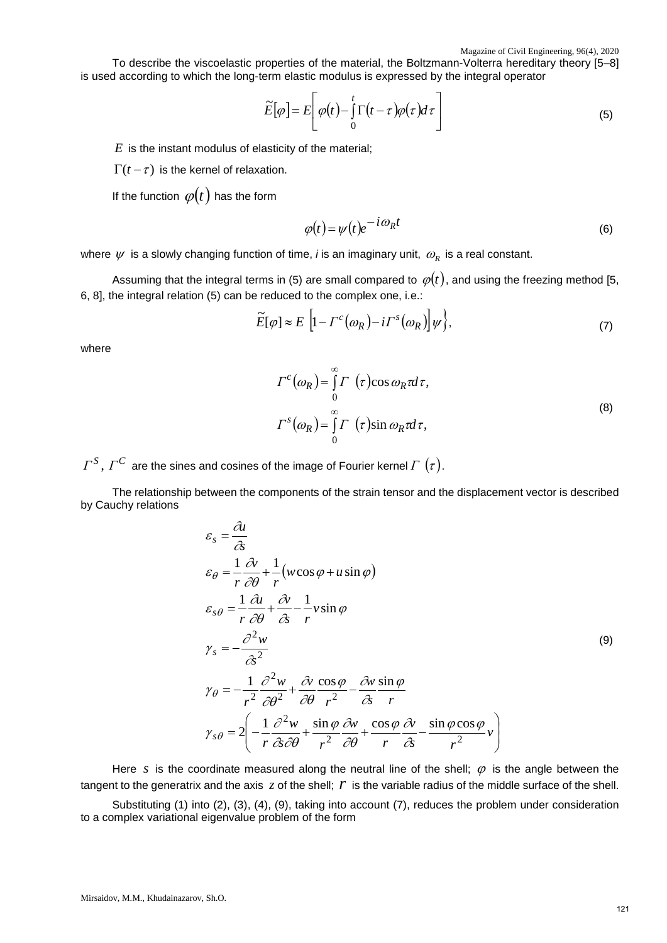To describe the viscoelastic properties of the material, the Boltzmann-Volterra hereditary theory [5–8] is used according to which the long-term elastic modulus is expressed by the integral operator

$$
\widetilde{E}[\varphi] = E\left[\varphi(t) - \int_{0}^{t} \Gamma(t-\tau)\varphi(\tau)d\tau\right]
$$
\n(5)

*E* is the instant modulus of elasticity of the material;

 $\Gamma(t-\tau)$  is the kernel of relaxation.

If the function  $\varphi(t)$  has the form

$$
\varphi(t) = \psi(t)e^{-i\omega_R t}
$$
\n(6)

where  $\psi$  is a slowly changing function of time, *i* is an imaginary unit,  $\omega_R$  is a real constant.

Assuming that the integral terms in (5) are small compared to  $\varphi(t)$ , and using the freezing method [5, 6, 8], the integral relation (5) can be reduced to the complex one, i.e.:

$$
\widetilde{E}[\varphi] \approx E\left[1 - \Gamma^{c}(\omega_{R}) - i\Gamma^{s}(\omega_{R})\right]\psi\Big\},\tag{7}
$$

where

$$
\Gamma^{c}(\omega_{R}) = \int_{0}^{\infty} \Gamma(\tau) \cos \omega_{R} \tau d\tau,
$$
  

$$
\Gamma^{s}(\omega_{R}) = \int_{0}^{\infty} \Gamma(\tau) \sin \omega_{R} \tau d\tau,
$$
 (8)

 $\Gamma^S$ ,  $\Gamma^C$  are the sines and cosines of the image of Fourier kernel  $\Gamma(\tau)$ .

The relationship between the components of the strain tensor and the displacement vector is described by Cauchy relations

$$
\varepsilon_{s} = \frac{\partial u}{\partial s}
$$
\n
$$
\varepsilon_{\theta} = \frac{1}{r} \frac{\partial v}{\partial \theta} + \frac{1}{r} (w \cos \varphi + u \sin \varphi)
$$
\n
$$
\varepsilon_{s\theta} = \frac{1}{r} \frac{\partial u}{\partial \theta} + \frac{\partial v}{\partial s} - \frac{1}{r} v \sin \varphi
$$
\n
$$
\gamma_{s} = -\frac{\partial^{2} w}{\partial s^{2}}
$$
\n
$$
\gamma_{\theta} = -\frac{1}{r^{2}} \frac{\partial^{2} w}{\partial \theta^{2}} + \frac{\partial v}{\partial \theta} \frac{\cos \varphi}{r^{2}} - \frac{\partial w}{\partial s} \frac{\sin \varphi}{r}
$$
\n
$$
\gamma_{s\theta} = 2 \left( -\frac{1}{r} \frac{\partial^{2} w}{\partial s \partial \theta} + \frac{\sin \varphi}{r^{2}} \frac{\partial w}{\partial \theta} + \frac{\cos \varphi}{r} \frac{\partial v}{\partial s} - \frac{\sin \varphi \cos \varphi}{r^{2}} v \right)
$$
\n(9)

Here *s* is the coordinate measured along the neutral line of the shell;  $\varphi$  is the angle between the tangent to the generatrix and the axis  $z$  of the shell;  $r$  is the variable radius of the middle surface of the shell. Substituting (1) into (2), (3), (4), (9), taking into account (7), reduces the problem under consideration to a complex variational eigenvalue problem of the form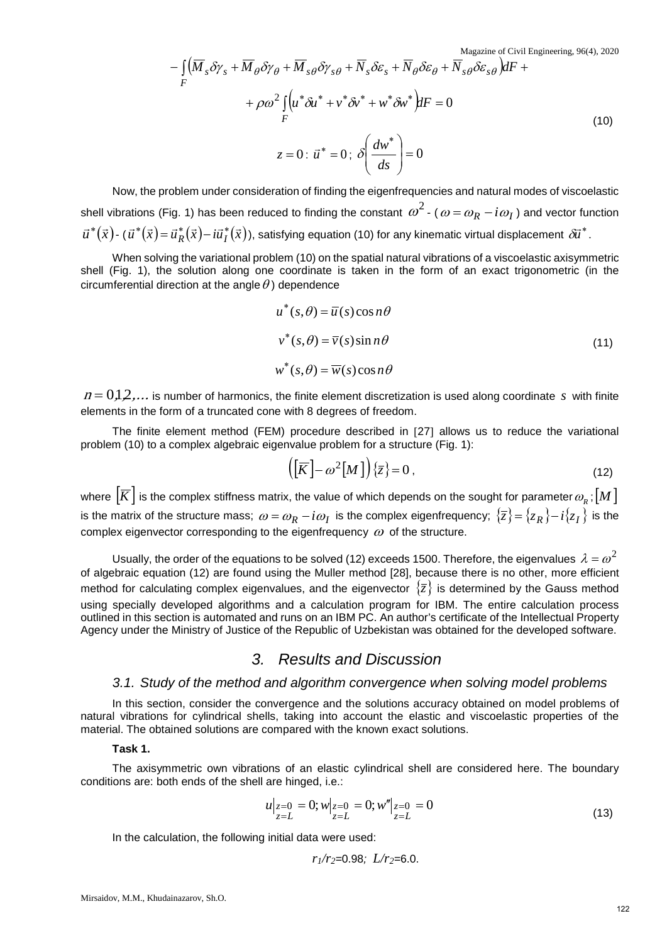Magazine of Civil Engineering, 96(4), 2020

$$
-\int_{F} (\overline{M}_{s} \delta \gamma_{s} + \overline{M}_{\theta} \delta \gamma_{\theta} + \overline{M}_{s\theta} \delta \gamma_{s\theta} + \overline{N}_{s} \delta \varepsilon_{s} + \overline{N}_{\theta} \delta \varepsilon_{\theta} + \overline{N}_{s\theta} \delta \varepsilon_{s\theta}) dF +
$$
  
+  $\rho \omega^{2} \int_{F} (u^{*} \delta u^{*} + v^{*} \delta v^{*} + w^{*} \delta w^{*}) dF = 0$   

$$
z = 0 : \overrightarrow{u}^{*} = 0; \delta \left( \frac{dw^{*}}{ds} \right) = 0
$$
 (10)

Now, the problem under consideration of finding the eigenfrequencies and natural modes of viscoelastic shell vibrations (Fig. 1) has been reduced to finding the constant  $\omega^2$  - ( $\omega = \omega_R - i\omega_I$ ) and vector function  $\vec{u}^*(\vec{x})$ - ( $\vec{u}^*(\vec{x})$ =  $\vec{u}_R^*(\vec{x})$ -  $i\vec{u}_I^*(\vec{x})$ ), satisfying equation (10) for any kinematic virtual displacement  $\delta\vec{u}^*$ .

When solving the variational problem (10) on the spatial natural vibrations of a viscoelastic axisymmetric shell (Fig. 1), the solution along one coordinate is taken in the form of an exact trigonometric (in the circumferential direction at the angle  $\theta$ ) dependence

$$
u^*(s, \theta) = \overline{u}(s) \cos n\theta
$$
  

$$
v^*(s, \theta) = \overline{v}(s) \sin n\theta
$$
  

$$
w^*(s, \theta) = \overline{w}(s) \cos n\theta
$$
 (11)

 $n = 0,1,2,...$  is number of harmonics, the finite element discretization is used along coordinate *s* with finite elements in the form of a truncated cone with 8 degrees of freedom.

The finite element method (FEM) procedure described in [27] allows us to reduce the variational problem (10) to a complex algebraic eigenvalue problem for a structure (Fig. 1):

$$
\left(\left[\overline{K}\right]-\omega^2\left[M\right]\right)\left\{\overline{z}\right\}=0\,,\tag{12}
$$

where  $\left[\overline{K}\right]$  is the complex stiffness matrix, the value of which depends on the sought for parameter  $\omega_{\scriptscriptstyle R}$ ;  $\left[M\right]$ is the matrix of the structure mass;  $\omega = \omega_R - i\omega_I$  is the complex eigenfrequency;  $\{\overline{z}\} = \{z_R\} - i\{z_I\}$  is the complex eigenvector corresponding to the eigenfrequency  $\omega$  of the structure.

Usually, the order of the equations to be solved (12) exceeds 1500. Therefore, the eigenvalues  $\lambda = \omega^2$ of algebraic equation (12) are found using the Muller method [28], because there is no other, more efficient method for calculating complex eigenvalues, and the eigenvector  $\{\overline{z}\}\$  is determined by the Gauss method using specially developed algorithms and a calculation program for IBM. The entire calculation process outlined in this section is automated and runs on an IBM PC. An author's certificate of the Intellectual Property Agency under the Ministry of Justice of the Republic of Uzbekistan was obtained for the developed software.

# *3. Results and Discussion*

### *3.1. Study of the method and algorithm convergence when solving model problems*

In this section, consider the convergence and the solutions accuracy obtained on model problems of natural vibrations for cylindrical shells, taking into account the elastic and viscoelastic properties of the material. The obtained solutions are compared with the known exact solutions.

### **Task 1.**

The axisymmetric own vibrations of an elastic cylindrical shell are considered here. The boundary conditions are: both ends of the shell are hinged, i.e.:

$$
u|_{z=0} = 0; w|_{z=0} = 0; w''|_{z=0} = 0
$$
  

$$
z=L
$$
 (13)

In the calculation, the following initial data were used:

$$
r_1/r_2=0.98
$$
;  $L/r_2=6.0$ .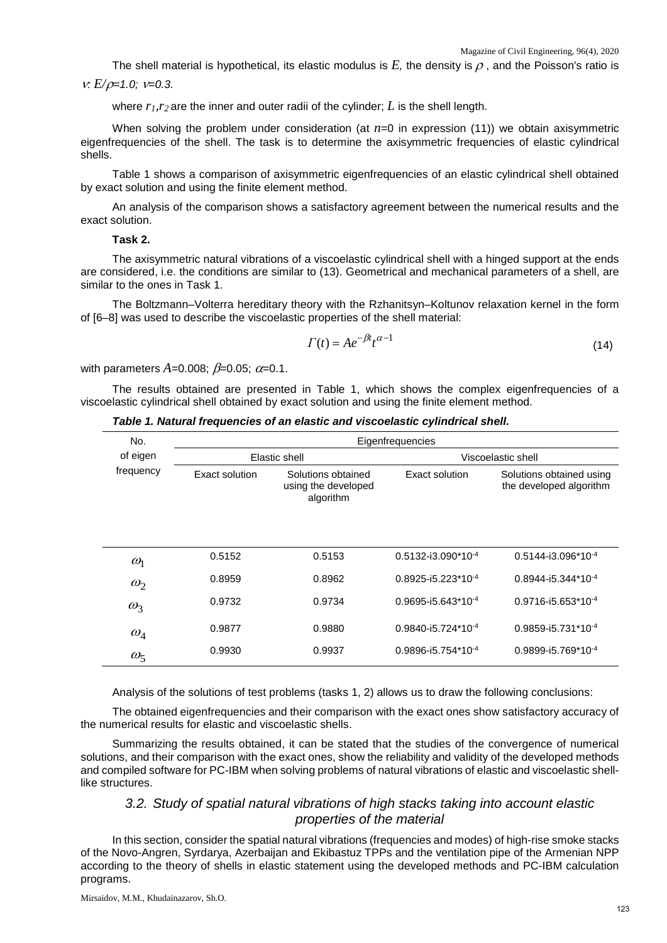The shell material is hypothetical, its elastic modulus is  $E$ , the density is  $\rho$ , and the Poisson's ratio is

#### <sup>ν</sup>*: E/*ρ*=1.0;* ν*=0.3.*

where  $r_1, r_2$  are the inner and outer radii of the cylinder;  $L$  is the shell length.

When solving the problem under consideration (at  $n=0$  in expression (11)) we obtain axisymmetric eigenfrequencies of the shell. The task is to determine the axisymmetric frequencies of elastic cylindrical shells.

Table 1 shows a comparison of axisymmetric eigenfrequencies of an elastic cylindrical shell obtained by exact solution and using the finite element method.

An analysis of the comparison shows a satisfactory agreement between the numerical results and the exact solution.

### **Task 2.**

The axisymmetric natural vibrations of a viscoelastic cylindrical shell with a hinged support at the ends are considered, i.e. the conditions are similar to (13). Geometrical and mechanical parameters of a shell, are similar to the ones in Task 1.

The Boltzmann–Volterra hereditary theory with the Rzhanitsyn–Koltunov relaxation kernel in the form of [6–8] was used to describe the viscoelastic properties of the shell material:

$$
\Gamma(t) = Ae^{-\beta t}t^{\alpha - 1}
$$
\n(14)

with parameters  $A=0.008$ ;  $\beta=0.05$ ;  $\alpha=0.1$ .

The results obtained are presented in Table 1, which shows the complex eigenfrequencies of a viscoelastic cylindrical shell obtained by exact solution and using the finite element method.

|  |  |  | Table 1. Natural frequencies of an elastic and viscoelastic cylindrical shell. |  |
|--|--|--|--------------------------------------------------------------------------------|--|
|--|--|--|--------------------------------------------------------------------------------|--|

| No.        | Eigenfrequencies |                                                        |                                  |                                                     |  |  |  |
|------------|------------------|--------------------------------------------------------|----------------------------------|-----------------------------------------------------|--|--|--|
| of eigen   |                  | Elastic shell                                          | Viscoelastic shell               |                                                     |  |  |  |
| frequency  | Exact solution   | Solutions obtained<br>using the developed<br>algorithm | Exact solution                   | Solutions obtained using<br>the developed algorithm |  |  |  |
| $\omega_1$ | 0.5152           | 0.5153                                                 | $0.5132 - i3.090 \times 10^{-4}$ | $0.5144 - i3.096*10^{-4}$                           |  |  |  |
| $\omega_2$ | 0.8959           | 0.8962                                                 | $0.8925 - 15.223 \times 10^{-4}$ | $0.8944 - 15.344 \cdot 10^{-4}$                     |  |  |  |
| $\omega_3$ | 0.9732           | 0.9734                                                 | $0.9695 - 15.643 \times 10^{-4}$ | $0.9716 - 15.653 \times 10^{-4}$                    |  |  |  |
| $\omega_4$ | 0.9877           | 0.9880                                                 | $0.9840 - 15.724 \cdot 10^{-4}$  | $0.9859 - 15.731 \times 10^{-4}$                    |  |  |  |
| $\omega_5$ | 0.9930           | 0.9937                                                 | $0.9896 - 15.754 \cdot 10^{-4}$  | $0.9899 - 15.769 \times 10^{-4}$                    |  |  |  |

Analysis of the solutions of test problems (tasks 1, 2) allows us to draw the following conclusions:

The obtained eigenfrequencies and their comparison with the exact ones show satisfactory accuracy of the numerical results for elastic and viscoelastic shells.

Summarizing the results obtained, it can be stated that the studies of the convergence of numerical solutions, and their comparison with the exact ones, show the reliability and validity of the developed methods and compiled software for PC-IBM when solving problems of natural vibrations of elastic and viscoelastic shelllike structures.

# *3.2. Study of spatial natural vibrations of high stacks taking into account elastic properties of the material*

In this section, consider the spatial natural vibrations (frequencies and modes) of high-rise smoke stacks of the Novo-Angren, Syrdarya, Azerbaijan and Ekibastuz TPPs and the ventilation pipe of the Armenian NPP according to the theory of shells in elastic statement using the developed methods and PC-IBM calculation programs.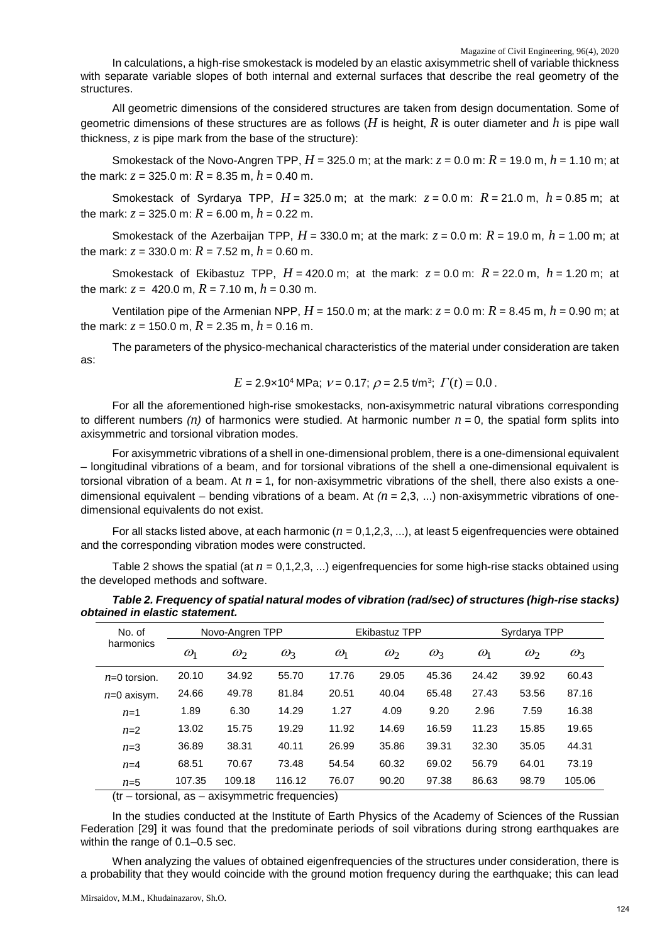In calculations, a high-rise smokestack is modeled by an elastic axisymmetric shell of variable thickness with separate variable slopes of both internal and external surfaces that describe the real geometry of the structures.

All geometric dimensions of the considered structures are taken from design documentation. Some of geometric dimensions of these structures are as follows (*H* is height, *R* is outer diameter and *h* is pipe wall thickness, *z* is pipe mark from the base of the structure):

Smokestack of the Novo-Angren TPP,  $H = 325.0$  m; at the mark:  $z = 0.0$  m:  $R = 19.0$  m,  $h = 1.10$  m; at the mark:  $z = 325.0$  m:  $R = 8.35$  m,  $h = 0.40$  m.

Smokestack of Syrdarya TPP,  $H = 325.0$  m; at the mark:  $z = 0.0$  m:  $R = 21.0$  m,  $h = 0.85$  m; at the mark:  $z = 325.0$  m:  $R = 6.00$  m,  $h = 0.22$  m.

Smokestack of the Azerbaijan TPP,  $H = 330.0$  m; at the mark:  $z = 0.0$  m:  $R = 19.0$  m,  $h = 1.00$  m; at the mark:  $z = 330.0$  m:  $R = 7.52$  m,  $h = 0.60$  m.

Smokestack of Ekibastuz TPP,  $H = 420.0$  m; at the mark:  $z = 0.0$  m:  $R = 22.0$  m,  $h = 1.20$  m; at the mark:  $z = 420.0$  m,  $R = 7.10$  m,  $h = 0.30$  m.

Ventilation pipe of the Armenian NPP,  $H = 150.0$  m; at the mark:  $z = 0.0$  m:  $R = 8.45$  m,  $h = 0.90$  m; at the mark:  $z = 150.0$  m,  $R = 2.35$  m,  $h = 0.16$  m.

The parameters of the physico-mechanical characteristics of the material under consideration are taken as:

$$
E = 2.9 \times 10^4
$$
 MPa;  $v = 0.17$ ;  $\rho = 2.5$  t/m<sup>3</sup>;  $\Gamma(t) = 0.0$ .

For all the aforementioned high-rise smokestacks, non-axisymmetric natural vibrations corresponding to different numbers  $(n)$  of harmonics were studied. At harmonic number  $n = 0$ , the spatial form splits into axisymmetric and torsional vibration modes.

For axisymmetric vibrations of a shell in one-dimensional problem, there is a one-dimensional equivalent – longitudinal vibrations of a beam, and for torsional vibrations of the shell a one-dimensional equivalent is torsional vibration of a beam. At *n =* 1, for non-axisymmetric vibrations of the shell, there also exists a onedimensional equivalent – bending vibrations of a beam. At *(n* = 2,3, ...) non-axisymmetric vibrations of onedimensional equivalents do not exist.

For all stacks listed above, at each harmonic  $(n = 0, 1, 2, 3, ...)$ , at least 5 eigenfrequencies were obtained and the corresponding vibration modes were constructed.

Table 2 shows the spatial (at *n* = 0,1,2,3, ...) eigenfrequencies for some high-rise stacks obtained using the developed methods and software.

*Table 2. Frequency of spatial natural modes of vibration (rad/sec) of structures (high-rise stacks) obtained in elastic statement.* 

| No. of         |              | Novo-Angren TPP |              | <b>Ekibastuz TPP</b> |              |              | Syrdarya TPP |              |            |
|----------------|--------------|-----------------|--------------|----------------------|--------------|--------------|--------------|--------------|------------|
| harmonics      | $\omega_{1}$ | $\omega_2$      | $\omega_{3}$ | $\omega_1$           | $\omega_{2}$ | $\omega_{3}$ | $\omega_{1}$ | $\omega_{2}$ | $\omega_3$ |
| $n=0$ torsion. | 20.10        | 34.92           | 55.70        | 17.76                | 29.05        | 45.36        | 24.42        | 39.92        | 60.43      |
| $n=0$ axisym.  | 24.66        | 49.78           | 81.84        | 20.51                | 40.04        | 65.48        | 27.43        | 53.56        | 87.16      |
| $n=1$          | 1.89         | 6.30            | 14.29        | 1.27                 | 4.09         | 9.20         | 2.96         | 7.59         | 16.38      |
| $n=2$          | 13.02        | 15.75           | 19.29        | 11.92                | 14.69        | 16.59        | 11.23        | 15.85        | 19.65      |
| $n=3$          | 36.89        | 38.31           | 40.11        | 26.99                | 35.86        | 39.31        | 32.30        | 35.05        | 44.31      |
| $n=4$          | 68.51        | 70.67           | 73.48        | 54.54                | 60.32        | 69.02        | 56.79        | 64.01        | 73.19      |
| $n=5$          | 107.35       | 109.18          | 116.12       | 76.07                | 90.20        | 97.38        | 86.63        | 98.79        | 105.06     |

(tr – torsional, as – axisymmetric frequencies)

In the studies conducted at the Institute of Earth Physics of the Academy of Sciences of the Russian Federation [29] it was found that the predominate periods of soil vibrations during strong earthquakes are within the range of 0.1–0.5 sec.

When analyzing the values of obtained eigenfrequencies of the structures under consideration, there is a probability that they would coincide with the ground motion frequency during the earthquake; this can lead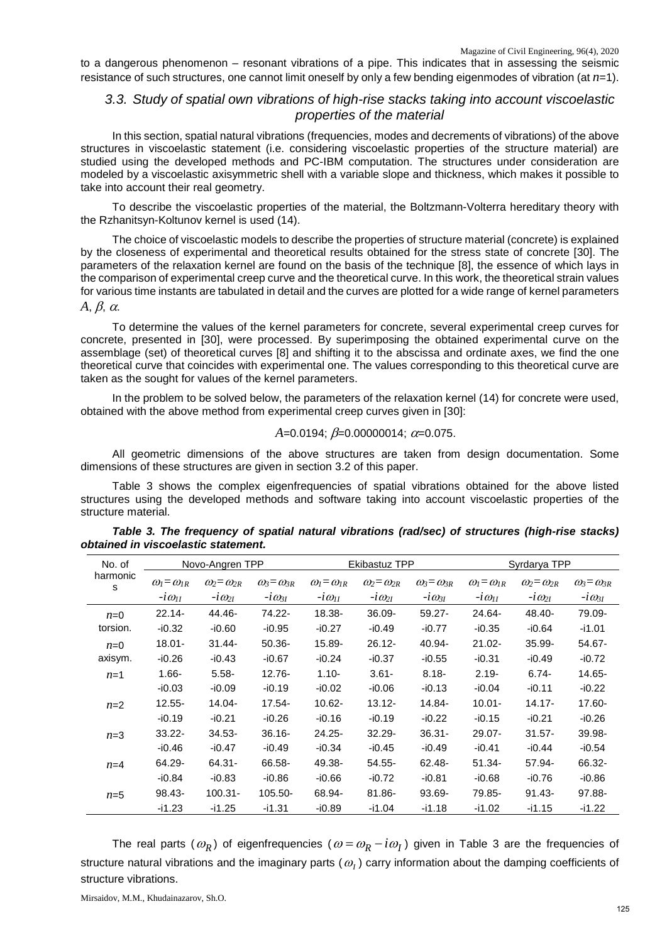to a dangerous phenomenon – resonant vibrations of a pipe. This indicates that in assessing the seismic resistance of such structures, one cannot limit oneself by only a few bending eigenmodes of vibration (at *n*=1).

## *3.3. Study of spatial own vibrations of high-rise stacks taking into account viscoelastic properties of the material*

In this section, spatial natural vibrations (frequencies, modes and decrements of vibrations) of the above structures in viscoelastic statement (i.e. considering viscoelastic properties of the structure material) are studied using the developed methods and PC-IBM computation. The structures under consideration are modeled by a viscoelastic axisymmetric shell with a variable slope and thickness, which makes it possible to take into account their real geometry.

To describe the viscoelastic properties of the material, the Boltzmann-Volterra hereditary theory with the Rzhanitsyn-Koltunov kernel is used (14).

The choice of viscoelastic models to describe the properties of structure material (concrete) is explained by the closeness of experimental and theoretical results obtained for the stress state of concrete [30]. The parameters of the relaxation kernel are found on the basis of the technique [8], the essence of which lays in the comparison of experimental creep curve and the theoretical curve. In this work, the theoretical strain values for various time instants are tabulated in detail and the curves are plotted for a wide range of kernel parameters *A*, β, α.

To determine the values of the kernel parameters for concrete, several experimental creep curves for concrete, presented in [30], were processed. By superimposing the obtained experimental curve on the assemblage (set) of theoretical curves [8] and shifting it to the abscissa and ordinate axes, we find the one theoretical curve that coincides with experimental one. The values corresponding to this theoretical curve are taken as the sought for values of the kernel parameters.

In the problem to be solved below, the parameters of the relaxation kernel (14) for concrete were used, obtained with the above method from experimental creep curves given in [30]:

$$
A=0.0194
$$
;  $\beta=0.00000014$ ;  $\alpha=0.075$ .

All geometric dimensions of the above structures are taken from design documentation. Some dimensions of these structures are given in section 3.2 of this paper.

Table 3 shows the complex eigenfrequencies of spatial vibrations obtained for the above listed structures using the developed methods and software taking into account viscoelastic properties of the structure material.

| No. of        |                                        | Novo-Angren TPP                             |                                             |                                        | Ekibastuz TPP                               |                                             |                                        | Syrdarya TPP                                |                                             |  |
|---------------|----------------------------------------|---------------------------------------------|---------------------------------------------|----------------------------------------|---------------------------------------------|---------------------------------------------|----------------------------------------|---------------------------------------------|---------------------------------------------|--|
| harmonic<br>s | $\omega_l = \omega_{lR}$<br>$-i\omega$ | $\omega_2 = \omega_{2R}$<br>$-i\omega_{2I}$ | $\omega_3 = \omega_{3R}$<br>$-i\omega_{3I}$ | $\omega_l = \omega_{lR}$<br>$-i\omega$ | $\omega_2 = \omega_{2R}$<br>$-i\omega_{2I}$ | $\omega_3 = \omega_{3R}$<br>$-i\omega_{3I}$ | $\omega_l = \omega_{lR}$<br>$-i\omega$ | $\omega_2 = \omega_{2R}$<br>$-i\omega_{2I}$ | $\omega_3 = \omega_{3R}$<br>$-i\omega_{3I}$ |  |
| $n=0$         | $22.14 -$                              | 44.46-                                      | 74.22-                                      | 18.38-                                 | 36.09-                                      | $59.27 -$                                   | 24.64-                                 | 48.40-                                      | 79.09-                                      |  |
| torsion.      | $-10.32$                               | $-10.60$                                    | $-10.95$                                    | $-i0.27$                               | $-10.49$                                    | $-i0.77$                                    | $-10.35$                               | $-10.64$                                    | $-11.01$                                    |  |
| $n=0$         | 18.01-                                 | $31.44 -$                                   | $50.36 -$                                   | 15.89-                                 | $26.12 -$                                   | 40.94-                                      | $21.02 -$                              | $35.99 -$                                   | 54.67-                                      |  |
| axisym.       | $-10.26$                               | $-10.43$                                    | $-10.67$                                    | $-i0.24$                               | -i0.37                                      | $-10.55$                                    | $-10.31$                               | $-10.49$                                    | $-10.72$                                    |  |
| $n=1$         | $1.66 -$                               | $5.58 -$                                    | $12.76 -$                                   | $1.10 -$                               | $3.61 -$                                    | $8.18 -$                                    | $2.19 -$                               | $6.74 -$                                    | 14.65-                                      |  |
|               | $-10.03$                               | -i0.09                                      | $-10.19$                                    | $-10.02$                               | $-10.06$                                    | $-10.13$                                    | -i0.04                                 | $-10.11$                                    | $-10.22$                                    |  |
| $n=2$         | $12.55 -$                              | 14.04-                                      | $17.54 -$                                   | $10.62 -$                              | $13.12 -$                                   | 14.84-                                      | $10.01 -$                              | $14.17 -$                                   | 17.60-                                      |  |
|               | $-10.19$                               | -i0.21                                      | $-10.26$                                    | $-10.16$                               | $-10.19$                                    | $-10.22$                                    | -i0.15                                 | $-i0.21$                                    | $-10.26$                                    |  |
| $n=3$         | $33.22 -$                              | $34.53 -$                                   | $36.16 -$                                   | 24.25-                                 | $32.29 -$                                   | $36.31 -$                                   | 29.07-                                 | $31.57 -$                                   | 39.98-                                      |  |
|               | $-10.46$                               | $-10.47$                                    | $-10.49$                                    | $-10.34$                               | $-10.45$                                    | $-10.49$                                    | $-10.41$                               | $-i0.44$                                    | $-10.54$                                    |  |
| $n=4$         | 64.29-                                 | $64.31 -$                                   | 66.58-                                      | 49.38-                                 | $54.55 -$                                   | 62.48-                                      | $51.34 -$                              | 57.94-                                      | 66.32-                                      |  |
|               | $-10.84$                               | $-10.83$                                    | $-10.86$                                    | $-10.66$                               | $-i0.72$                                    | $-10.81$                                    | $-10.68$                               | $-10.76$                                    | -i0.86                                      |  |
| $n=5$         | 98.43-                                 | $100.31 -$                                  | 105.50-                                     | 68.94-                                 | $81.86 -$                                   | 93.69-                                      | 79.85-                                 | $91.43 -$                                   | $97.88 -$                                   |  |
|               | -i1.23                                 | -i1.25                                      | -i1.31                                      | -i0.89                                 | -i1.04                                      | -i1.18                                      | -i1.02                                 | -i1.15                                      | -i1.22                                      |  |

| Table 3. The frequency of spatial natural vibrations (rad/sec) of structures (high-rise stacks) |  |  |  |
|-------------------------------------------------------------------------------------------------|--|--|--|
| obtained in viscoelastic statement.                                                             |  |  |  |

The real parts ( $\omega_R$ ) of eigenfrequencies ( $\omega = \omega_R - i\omega_I$ ) given in Table 3 are the frequencies of structure natural vibrations and the imaginary parts ( $\omega$ <sub>*I*</sub>) carry information about the damping coefficients of structure vibrations.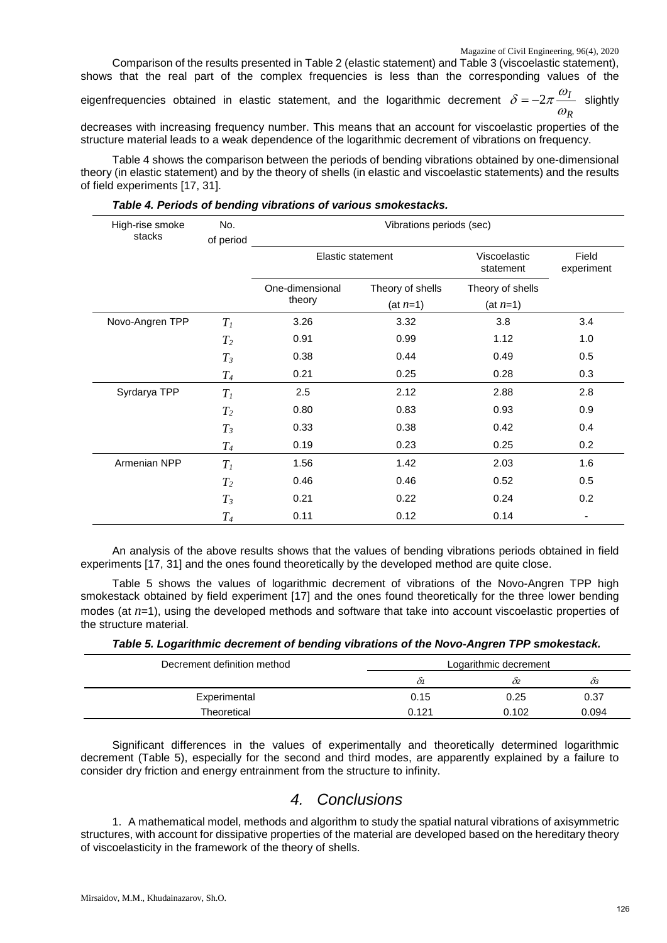Comparison of the results presented in Table 2 (elastic statement) and Table 3 (viscoelastic statement), shows that the real part of the complex frequencies is less than the corresponding values of the

eigenfrequencies obtained in elastic statement, and the logarithmic decrement *I*  $\delta = -2\pi \frac{\omega_I}{\omega_P}$  slightly

*R* decreases with increasing frequency number. This means that an account for viscoelastic properties of the structure material leads to a weak dependence of the logarithmic decrement of vibrations on frequency.

Table 4 shows the comparison between the periods of bending vibrations obtained by one-dimensional theory (in elastic statement) and by the theory of shells (in elastic and viscoelastic statements) and the results of field experiments [17, 31].

| High-rise smoke<br>stacks | No.<br>of period | Vibrations periods (sec) |                  |                           |                     |  |  |
|---------------------------|------------------|--------------------------|------------------|---------------------------|---------------------|--|--|
|                           |                  | <b>Elastic statement</b> |                  | Viscoelastic<br>statement | Field<br>experiment |  |  |
|                           |                  | One-dimensional          | Theory of shells | Theory of shells          |                     |  |  |
|                           |                  | theory                   | $(at n=1)$       | $(at n=1)$                |                     |  |  |
| Novo-Angren TPP           | $T_I$            | 3.26                     | 3.32             | 3.8                       | 3.4                 |  |  |
|                           | $T_2$            | 0.91                     | 0.99             | 1.12                      | 1.0                 |  |  |
|                           | $T_3$            | 0.38                     | 0.44             | 0.49                      | 0.5                 |  |  |
|                           | $T_{4}$          | 0.21                     | 0.25             | 0.28                      | 0.3                 |  |  |
| Syrdarya TPP              | $T_I$            | 2.5                      | 2.12             | 2.88                      | 2.8                 |  |  |
|                           | $T_2$            | 0.80                     | 0.83             | 0.93                      | 0.9                 |  |  |
|                           | $T_3$            | 0.33                     | 0.38             | 0.42                      | 0.4                 |  |  |
|                           | $T_{4}$          | 0.19                     | 0.23             | 0.25                      | 0.2                 |  |  |
| Armenian NPP              | $T_I$            | 1.56                     | 1.42             | 2.03                      | 1.6                 |  |  |
|                           | $T_2$            | 0.46                     | 0.46             | 0.52                      | 0.5                 |  |  |
|                           | $T_3$            | 0.21                     | 0.22             | 0.24                      | 0.2                 |  |  |
|                           | $T_{4}$          | 0.11                     | 0.12             | 0.14                      | ٠                   |  |  |

An analysis of the above results shows that the values of bending vibrations periods obtained in field experiments [17, 31] and the ones found theoretically by the developed method are quite close.

Table 5 shows the values of logarithmic decrement of vibrations of the Novo-Angren TPP high smokestack obtained by field experiment [17] and the ones found theoretically for the three lower bending modes (at  $n=1$ ), using the developed methods and software that take into account viscoelastic properties of the structure material.

| Table 5. Logarithmic decrement of bending vibrations of the Novo-Angren TPP smokestack. |  |  |
|-----------------------------------------------------------------------------------------|--|--|
|                                                                                         |  |  |

| Decrement definition method | Logarithmic decrement |       |       |  |  |
|-----------------------------|-----------------------|-------|-------|--|--|
|                             | 01                    | 02    | ÒЗ    |  |  |
| Experimental                | 0.15                  | 0.25  | 0.37  |  |  |
| Theoretical                 | 0.121                 | 0.102 | 0.094 |  |  |

Significant differences in the values of experimentally and theoretically determined logarithmic decrement (Table 5), especially for the second and third modes, are apparently explained by a failure to consider dry friction and energy entrainment from the structure to infinity.

# *4. Conclusions*

1. A mathematical model, methods and algorithm to study the spatial natural vibrations of axisymmetric structures, with account for dissipative properties of the material are developed based on the hereditary theory of viscoelasticity in the framework of the theory of shells.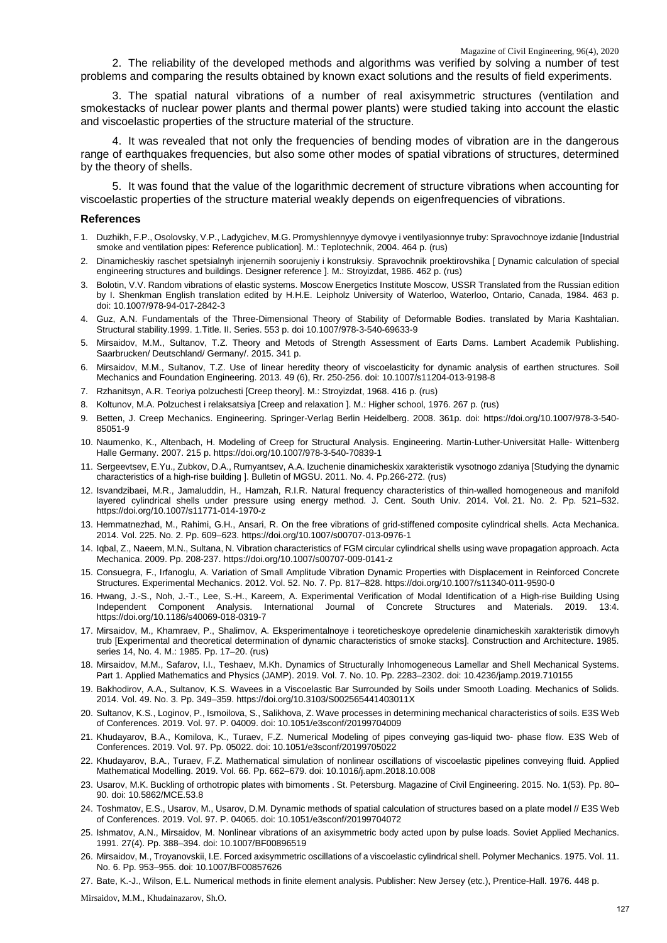2. The reliability of the developed methods and algorithms was verified by solving a number of test problems and comparing the results obtained by known exact solutions and the results of field experiments.

3. The spatial natural vibrations of a number of real axisymmetric structures (ventilation and smokestacks of nuclear power plants and thermal power plants) were studied taking into account the elastic and viscoelastic properties of the structure material of the structure.

4. It was revealed that not only the frequencies of bending modes of vibration are in the dangerous range of earthquakes frequencies, but also some other modes of spatial vibrations of structures, determined by the theory of shells.

5. It was found that the value of the logarithmic decrement of structure vibrations when accounting for viscoelastic properties of the structure material weakly depends on eigenfrequencies of vibrations.

#### **References**

- 1. Duzhikh, F.P., Osolovsky, V.P., Ladygichev, M.G. Promyshlennyye dymovye i ventilyasionnye truby: Spravochnoye izdanie [Industrial smoke and ventilation pipes: Reference publication]. M.: Teplotechnik, 2004. 464 p. (rus)
- 2. Dinamicheskiy raschet spetsialnyh injenernih soorujeniy i konstruksiy. Spravochnik proektirovshika [ Dynamic calculation of special engineering structures and buildings. Designer reference ]. M.: Stroyizdat, 1986. 462 p. (rus)
- 3. Bolotin, V.V. Random vibrations of elastic systems. Moscow Energetics Institute Moscow, USSR Translated from the Russian edition by I. Shenkman English translation edited by H.H.E. Leipholz University of Waterloo, Waterloo, Ontario, Canada, 1984. 463 p. doi: 10.1007/978-94-017-2842-3
- 4. Guz, A.N. Fundamentals of the Three-Dimensional Theory of Stability of Deformable Bodies. translated by Maria Kashtalian. Structural stability.1999. 1.Title. II. Series. 553 p. doi 10.1007/978-3-540-69633-9
- 5. Mirsaidov, M.M., Sultanov, T.Z. Theory and Metods of Strength Assessment of Earts Dams. Lambert Academik Publishing. Saarbrucken/ Deutschland/ Germany/. 2015. 341 p.
- 6. Mirsaidov, M.M., Sultanov, T.Z. Use of linear heredity theory of viscoelasticity for dynamic analysis of earthen structures. Soil Mechanics and Foundation Engineering. 2013. 49 (6), Rr. 250-256. doi: 10.1007/s11204-013-9198-8
- 7. Rzhanitsyn, A.R. Teoriya polzuchesti [Creep theory]. M.: Stroyizdat, 1968. 416 p. (rus)
- 8. Koltunov, M.A. Polzuchest i relaksatsiya [Creep and relaxation ]. M.: Higher school, 1976. 267 p. (rus)
- 9. Betten, J. Creep Mechanics. Engineering. Springer-Verlag Berlin Heidelberg. 2008. 361p. doi: https://doi.org/10.1007/978-3-540- 85051-9
- 10. Naumenko, K., Altenbach, H. Modeling of Creep for Structural Analysis. Engineering. Martin-Luther-Universität Halle- Wittenberg Halle Germany. 2007. 215 p. https://doi.org/10.1007/978-3-540-70839-1
- 11. Sergeevtsev, E.Yu., Zubkov, D.A., Rumyantsev, A.A. Izuchenie dinamicheskix xarakteristik vysotnogo zdaniya [Studying the dynamic characteristics of a high-rise building ]. Bulletin of MGSU. 2011. No. 4. Pp.266-272. (rus)
- 12. Isvandzibaei, M.R., Jamaluddin, H., Hamzah, R.I.R. Natural frequency characteristics of thin-walled homogeneous and manifold layered cylindrical shells under pressure using energy method. J. Cent. South Univ. 2014. Vol. 21. No. 2. Pp. 521–532. https://doi.org/10.1007/s11771-014-1970-z
- 13. Hemmatnezhad, M., Rahimi, G.H., Ansari, R. On the free vibrations of grid-stiffened composite cylindrical shells. Acta Mechanica. 2014. Vol. 225. No. 2. Pp. 609–623. https://doi.org/10.1007/s00707-013-0976-1
- 14. Iqbal, Z., Naeem, M.N., Sultana, N. Vibration characteristics of FGM circular cylindrical shells using wave propagation approach. Acta Mechanica. 2009. Pp. 208-237. https://doi.org/10.1007/s00707-009-0141-z
- 15. Consuegra, F., Irfanoglu, A. Variation of Small Amplitude Vibration Dynamic Properties with Displacement in Reinforced Concrete Structures. Experimental Mechanics. 2012. Vol. 52. No. 7. Pp. 817–828. https://doi.org/10.1007/s11340-011-9590-0
- 16. Hwang, J.-S., Noh, J.-T., Lee, S.-H., Kareem, A. Experimental Verification of Modal Identification of a High-rise Building Using Independent Component Analysis. International Journal of Concrete Structures and Materials. 2019. 13:4. https://doi.org/10.1186/s40069-018-0319-7
- 17. Mirsaidov, M., Khamraev, P., Shalimov, A. Eksperimentalnoye i teoreticheskoye opredelenie dinamicheskih xarakteristik dimovyh trub [Experimental and theoretical determination of dynamic characteristics of smoke stacks]. Construction and Architecture. 1985. series 14, No. 4. M.: 1985. Pp. 17–20. (rus)
- 18. Mirsaidov, M.M., Safarov, I.I., Teshaev, M.Kh. Dynamics of Structurally Inhomogeneous Lamellar and Shell Mechanical Systems. Part 1. Applied Mathematics and Physics (JAMP). 2019. Vol. 7. No. 10. Pp. 2283–2302. doi: 10.4236/jamp.2019.710155
- 19. Bakhodirov, A.A., Sultanov, K.S. Wavees in a Viscoelastic Bar Surrounded by Soils under Smooth Loading. Mechanics of Solids. 2014. Vol. 49. No. 3. Pp. 349–359. https://doi.org/10.3103/S002565441403011X
- 20. Sultanov, K.S., Loginov, P., Ismoilova, S., Salikhova, Z. Wave processes in determining mechanical characteristics of soils. E3S Web of Conferences. 2019. Vol. 97. P. 04009. doi: 10.1051/e3sconf/20199704009
- 21. Khudayarov, B.A., Komilova, K., Turaev, F.Z. Numerical Modeling of pipes conveying gas-liquid two- phase flow. E3S Web of Conferences. 2019. Vol. 97. Pp. 05022. doi: 10.1051/e3sconf/20199705022
- 22. Khudayarov, B.A., Turaev, F.Z. Mathematical simulation of nonlinear oscillations of viscoelastic pipelines conveying fluid. Applied Mathematical Modelling. 2019. Vol. 66. Pp. 662–679. doi: 10.1016/j.apm.2018.10.008
- 23. Usarov, M.K. Buckling of orthotropic plates with bimoments . St. Petersburg. Magazine of Civil Engineering. 2015. No. 1(53). Pp. 80– 90. doi: 10.5862/MCE.53.8
- 24. Toshmatov, E.S., Usarov, M., Usarov, D.M. Dynamic methods of spatial calculation of structures based on a plate model // E3S Web of Conferences. 2019. Vol. 97. P. 04065. doi: 10.1051/e3sconf/20199704072
- 25. Ishmatov, A.N., Mirsaidov, M. Nonlinear vibrations of an axisymmetric body acted upon by pulse loads. Soviet Applied Mechanics. 1991. 27(4). Pp. 388–394. doi: 10.1007/BF00896519
- 26. Mirsaidov, M., Troyanovskii, I.E. Forced axisymmetric oscillations of a viscoelastic cylindrical shell. Polymer Mechanics. 1975. Vol. 11. No. 6. Pp. 953–955. doi: 10.1007/BF00857626

27. Bate, K.-J., Wilson, E.L. Numerical methods in finite element analysis. Publisher: New Jersey (etc.), Prentice-Hall. 1976. 448 p.

Mirsaidov, M.M., Khudainazarov, Sh.O.